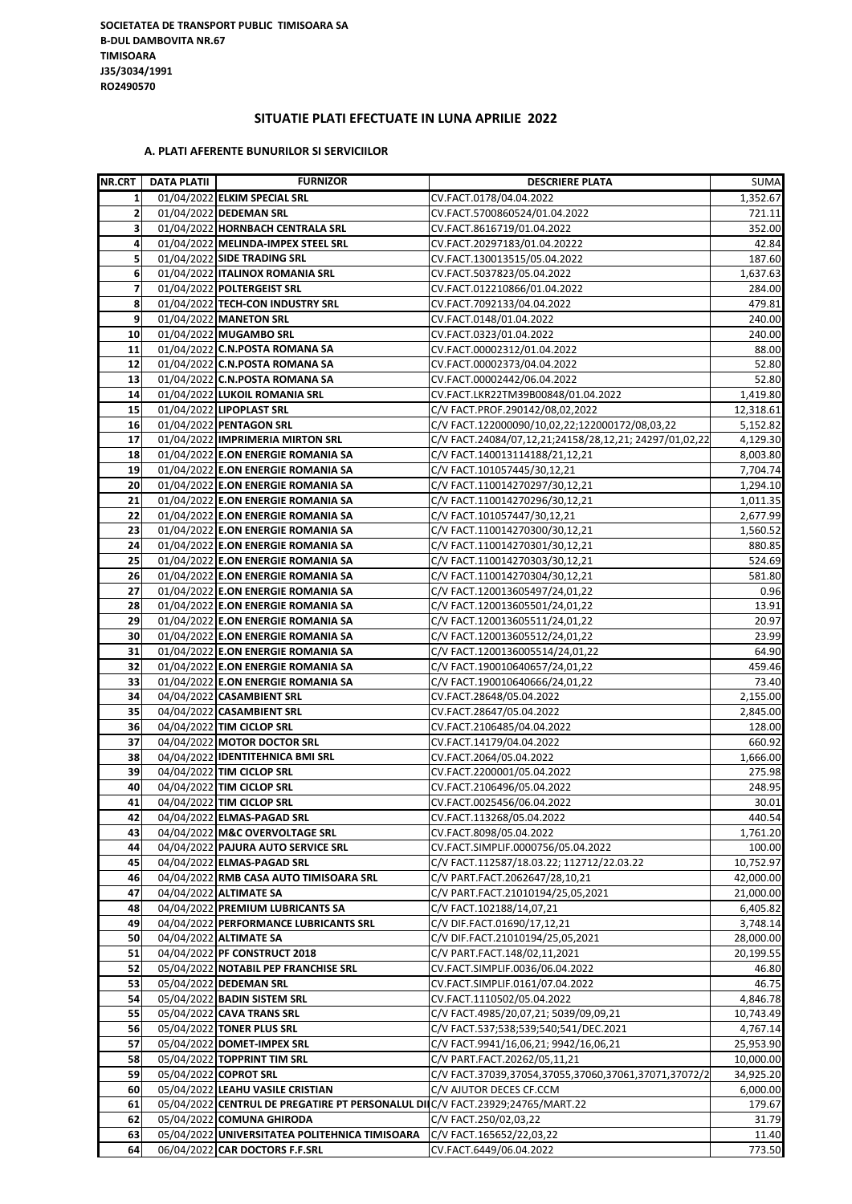## **SITUATIE PLATI EFECTUATE IN LUNA APRILIE 2022**

## **A. PLATI AFERENTE BUNURILOR SI SERVICIILOR**

| <b>NR.CRT</b>           | DATA PLATII | <b>FURNIZOR</b>                                                               | <b>DESCRIERE PLATA</b>                                 | SUMA      |
|-------------------------|-------------|-------------------------------------------------------------------------------|--------------------------------------------------------|-----------|
| $\mathbf{1}$            |             | 01/04/2022 ELKIM SPECIAL SRL                                                  | CV.FACT.0178/04.04.2022                                | 1,352.67  |
| $\overline{2}$          |             | 01/04/2022 DEDEMAN SRL                                                        | CV.FACT.5700860524/01.04.2022                          | 721.11    |
| $\overline{\mathbf{3}}$ |             | 01/04/2022 HORNBACH CENTRALA SRL                                              | CV.FACT.8616719/01.04.2022                             | 352.00    |
| 4                       |             | 01/04/2022 MELINDA-IMPEX STEEL SRL                                            | CV.FACT.20297183/01.04.20222                           | 42.84     |
| 5 <sub>l</sub>          |             | 01/04/2022 SIDE TRADING SRL                                                   | CV.FACT.130013515/05.04.2022                           | 187.60    |
| 6                       |             | 01/04/2022   ITALINOX ROMANIA SRL                                             | CV.FACT.5037823/05.04.2022                             | 1,637.63  |
| $\overline{\mathbf{z}}$ |             | 01/04/2022 POLTERGEIST SRL                                                    | CV.FACT.012210866/01.04.2022                           | 284.00    |
| 8                       |             | 01/04/2022 TECH-CON INDUSTRY SRL                                              | CV.FACT.7092133/04.04.2022                             | 479.81    |
| 9                       |             | 01/04/2022 MANETON SRL                                                        | CV.FACT.0148/01.04.2022                                | 240.00    |
| 10                      |             | 01/04/2022 MUGAMBO SRL                                                        | CV.FACT.0323/01.04.2022                                | 240.00    |
| 11                      |             | 01/04/2022 C.N.POSTA ROMANA SA                                                | CV.FACT.00002312/01.04.2022                            | 88.00     |
| 12                      |             | 01/04/2022 C.N.POSTA ROMANA SA                                                | CV.FACT.00002373/04.04.2022                            | 52.80     |
| 13                      |             | 01/04/2022 C.N.POSTA ROMANA SA                                                | CV.FACT.00002442/06.04.2022                            | 52.80     |
| 14                      |             | 01/04/2022 LUKOIL ROMANIA SRL                                                 | CV.FACT.LKR22TM39B00848/01.04.2022                     | 1,419.80  |
| 15                      |             | 01/04/2022 LIPOPLAST SRL                                                      | C/V FACT.PROF.290142/08,02,2022                        | 12,318.61 |
| 16                      |             | 01/04/2022 PENTAGON SRL                                                       | C/V FACT.122000090/10,02,22;122000172/08,03,22         | 5,152.82  |
| 17                      |             | 01/04/2022 IMPRIMERIA MIRTON SRL                                              | C/V FACT.24084/07,12,21;24158/28,12,21; 24297/01,02,22 | 4,129.30  |
| 18                      |             | 01/04/2022 E.ON ENERGIE ROMANIA SA                                            | C/V FACT.140013114188/21,12,21                         | 8,003.80  |
| 19                      |             | 01/04/2022 E.ON ENERGIE ROMANIA SA                                            | C/V FACT.101057445/30,12,21                            | 7,704.74  |
| 20                      |             | 01/04/2022 E.ON ENERGIE ROMANIA SA                                            | C/V FACT.110014270297/30,12,21                         | 1,294.10  |
| 21                      |             |                                                                               |                                                        |           |
|                         |             | 01/04/2022 E.ON ENERGIE ROMANIA SA                                            | C/V FACT.110014270296/30,12,21                         | 1,011.35  |
| 22                      |             | 01/04/2022 E.ON ENERGIE ROMANIA SA                                            | C/V FACT.101057447/30,12,21                            | 2,677.99  |
| 23                      |             | 01/04/2022 E.ON ENERGIE ROMANIA SA                                            | C/V FACT.110014270300/30,12,21                         | 1,560.52  |
| 24                      |             | 01/04/2022 E.ON ENERGIE ROMANIA SA                                            | C/V FACT.110014270301/30,12,21                         | 880.85    |
| 25                      |             | 01/04/2022 E.ON ENERGIE ROMANIA SA                                            | C/V FACT.110014270303/30,12,21                         | 524.69    |
| 26                      |             | 01/04/2022 E.ON ENERGIE ROMANIA SA                                            | C/V FACT.110014270304/30,12,21                         | 581.80    |
| 27                      |             | 01/04/2022 E.ON ENERGIE ROMANIA SA                                            | C/V FACT.120013605497/24,01,22                         | 0.96      |
| 28                      |             | 01/04/2022 E.ON ENERGIE ROMANIA SA                                            | C/V FACT.120013605501/24,01,22                         | 13.91     |
| 29                      |             | 01/04/2022 E.ON ENERGIE ROMANIA SA                                            | C/V FACT.120013605511/24,01,22                         | 20.97     |
| 30                      |             | 01/04/2022 E.ON ENERGIE ROMANIA SA                                            | C/V FACT.120013605512/24,01,22                         | 23.99     |
| 31                      |             | 01/04/2022 E.ON ENERGIE ROMANIA SA                                            | C/V FACT.1200136005514/24,01,22                        | 64.90     |
| 32                      |             | 01/04/2022 E.ON ENERGIE ROMANIA SA                                            | C/V FACT.190010640657/24,01,22                         | 459.46    |
| 33                      |             | 01/04/2022 E.ON ENERGIE ROMANIA SA                                            | C/V FACT.190010640666/24,01,22                         | 73.40     |
| 34                      |             | 04/04/2022 CASAMBIENT SRL                                                     | CV.FACT.28648/05.04.2022                               | 2,155.00  |
| 35                      |             | 04/04/2022 CASAMBIENT SRL                                                     | CV.FACT.28647/05.04.2022                               | 2,845.00  |
| 36                      |             | 04/04/2022 TIM CICLOP SRL                                                     | CV.FACT.2106485/04.04.2022                             | 128.00    |
| 37                      |             | 04/04/2022 MOTOR DOCTOR SRL                                                   | CV.FACT.14179/04.04.2022                               | 660.92    |
| 38                      |             | 04/04/2022 IDENTITEHNICA BMI SRL                                              | CV.FACT.2064/05.04.2022                                | 1,666.00  |
| 39                      |             | 04/04/2022 TIM CICLOP SRL                                                     | CV.FACT.2200001/05.04.2022                             | 275.98    |
| 40                      |             | 04/04/2022 TIM CICLOP SRL                                                     | CV.FACT.2106496/05.04.2022                             | 248.95    |
| 41                      |             | 04/04/2022 TIM CICLOP SRL                                                     | CV.FACT.0025456/06.04.2022                             | 30.01     |
| 42                      |             | 04/04/2022 ELMAS-PAGAD SRL                                                    | CV.FACT.113268/05.04.2022                              | 440.54    |
| 43                      |             | 04/04/2022 M&C OVERVOLTAGE SRL                                                | CV.FACT.8098/05.04.2022                                | 1,761.20  |
| 44                      |             | 04/04/2022 PAJURA AUTO SERVICE SRL                                            | CV.FACT.SIMPLIF.0000756/05.04.2022                     | 100.00    |
| 45                      |             | 04/04/2022 ELMAS-PAGAD SRL                                                    | C/V FACT.112587/18.03.22; 112712/22.03.22              | 10,752.97 |
| 46                      |             | 04/04/2022 RMB CASA AUTO TIMISOARA SRL                                        | C/V PART.FACT.2062647/28,10,21                         | 42,000.00 |
| 47                      |             | 04/04/2022 ALTIMATE SA                                                        | C/V PART.FACT.21010194/25,05,2021                      | 21,000.00 |
| 48                      |             | 04/04/2022 PREMIUM LUBRICANTS SA                                              | C/V FACT.102188/14,07,21                               | 6,405.82  |
| 49                      |             | 04/04/2022 PERFORMANCE LUBRICANTS SRL                                         | C/V DIF.FACT.01690/17,12,21                            | 3,748.14  |
| 50                      |             | 04/04/2022 ALTIMATE SA                                                        | C/V DIF.FACT.21010194/25,05,2021                       | 28,000.00 |
| 51                      |             | 04/04/2022 PF CONSTRUCT 2018                                                  | C/V PART.FACT.148/02,11,2021                           | 20,199.55 |
| 52                      |             | 05/04/2022 NOTABIL PEP FRANCHISE SRL                                          | CV.FACT.SIMPLIF.0036/06.04.2022                        | 46.80     |
| 53                      |             | 05/04/2022 DEDEMAN SRL                                                        | CV.FACT.SIMPLIF.0161/07.04.2022                        | 46.75     |
| 54                      |             | 05/04/2022 BADIN SISTEM SRL                                                   | CV.FACT.1110502/05.04.2022                             | 4,846.78  |
| 55                      |             | 05/04/2022 CAVA TRANS SRL                                                     | C/V FACT.4985/20,07,21; 5039/09,09,21                  | 10,743.49 |
| 56                      |             | 05/04/2022 TONER PLUS SRL                                                     | C/V FACT.537;538;539;540;541/DEC.2021                  | 4,767.14  |
| 57                      |             | 05/04/2022 DOMET-IMPEX SRL                                                    | C/V FACT.9941/16,06,21; 9942/16,06,21                  | 25,953.90 |
| 58                      |             | 05/04/2022 TOPPRINT TIM SRL                                                   | C/V PART.FACT.20262/05,11,21                           | 10,000.00 |
| 59                      |             | 05/04/2022 COPROT SRL                                                         | C/V FACT.37039,37054,37055,37060,37061,37071,37072/2   | 34,925.20 |
| 60                      |             | 05/04/2022 LEAHU VASILE CRISTIAN                                              | C/V AJUTOR DECES CF.CCM                                | 6,000.00  |
| 61                      |             | 05/04/2022 CENTRUL DE PREGATIRE PT PERSONALUL DIIC/V FACT.23929;24765/MART.22 |                                                        | 179.67    |
| 62                      |             | 05/04/2022 COMUNA GHIRODA                                                     | C/V FACT.250/02,03,22                                  | 31.79     |
| 63                      |             | 05/04/2022 UNIVERSITATEA POLITEHNICA TIMISOARA                                | C/V FACT.165652/22,03,22                               | 11.40     |
| 64                      |             | 06/04/2022 CAR DOCTORS F.F.SRL                                                | CV.FACT.6449/06.04.2022                                | 773.50    |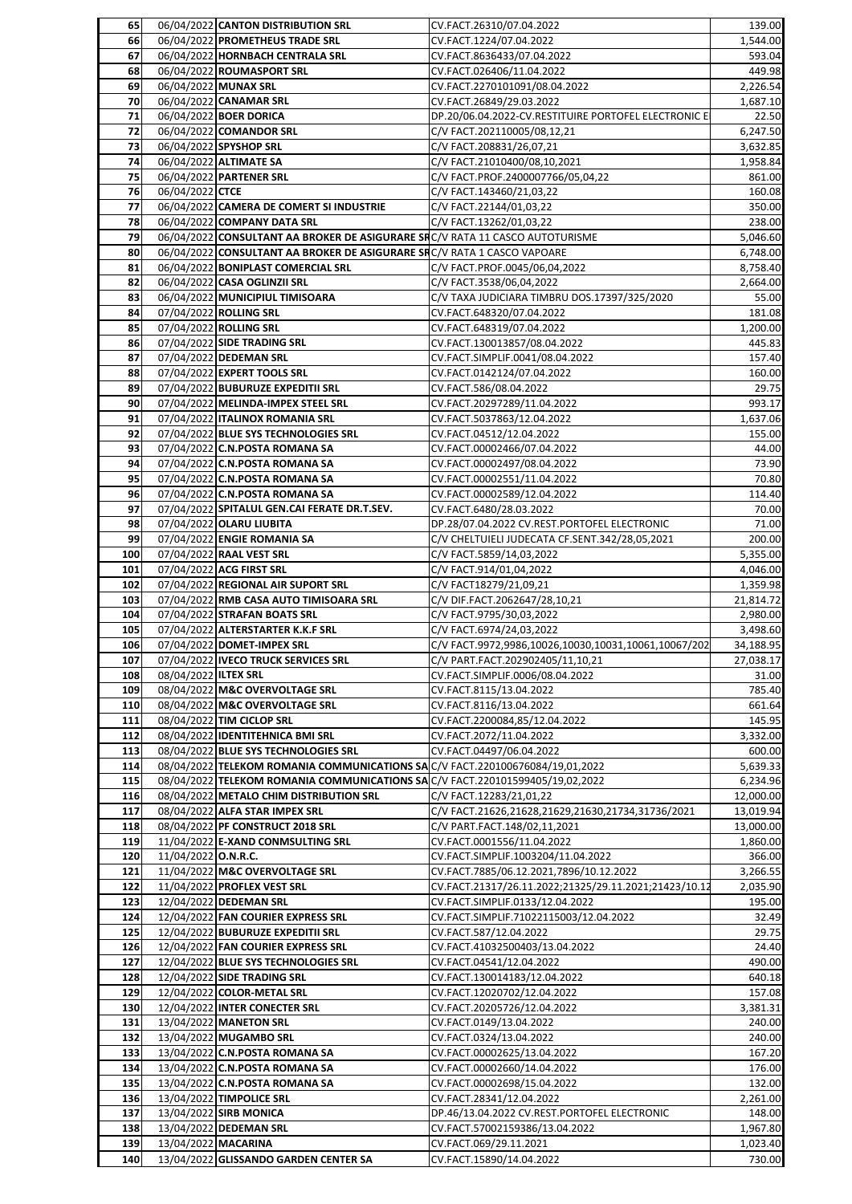| 65  |                            | 06/04/2022 CANTON DISTRIBUTION SRL                                           | CV.FACT.26310/07.04.2022                              | 139.00    |
|-----|----------------------------|------------------------------------------------------------------------------|-------------------------------------------------------|-----------|
| 66  |                            | 06/04/2022 PROMETHEUS TRADE SRL                                              | CV.FACT.1224/07.04.2022                               | 1,544.00  |
| 67  |                            | 06/04/2022 HORNBACH CENTRALA SRL                                             | CV.FACT.8636433/07.04.2022                            | 593.04    |
| 68  |                            | 06/04/2022 ROUMASPORT SRL                                                    | CV.FACT.026406/11.04.2022                             | 449.98    |
| 69  |                            | 06/04/2022 MUNAX SRL                                                         | CV.FACT.2270101091/08.04.2022                         | 2,226.54  |
| 70  |                            | 06/04/2022 CANAMAR SRL                                                       | CV.FACT.26849/29.03.2022                              | 1,687.10  |
| 71  |                            | 06/04/2022 BOER DORICA                                                       | DP.20/06.04.2022-CV.RESTITUIRE PORTOFEL ELECTRONIC E  | 22.50     |
| 72  |                            | 06/04/2022 COMANDOR SRL                                                      | C/V FACT.202110005/08,12,21                           | 6,247.50  |
| 73  |                            | 06/04/2022 SPYSHOP SRL                                                       | C/V FACT.208831/26,07,21                              | 3,632.85  |
| 74  |                            | 06/04/2022 ALTIMATE SA                                                       | C/V FACT.21010400/08,10,2021                          | 1,958.84  |
|     |                            |                                                                              |                                                       |           |
| 75  |                            | 06/04/2022 PARTENER SRL                                                      | C/V FACT.PROF.2400007766/05,04,22                     | 861.00    |
| 76  | 06/04/2022 CTCE            |                                                                              | C/V FACT.143460/21,03,22                              | 160.08    |
| 77  |                            | 06/04/2022 CAMERA DE COMERT SI INDUSTRIE                                     | C/V FACT.22144/01,03,22                               | 350.00    |
| 78  |                            | 06/04/2022 COMPANY DATA SRL                                                  | C/V FACT.13262/01,03,22                               | 238.00    |
| 79  |                            | 06/04/2022 CONSULTANT AA BROKER DE ASIGURARE SRC/V RATA 11 CASCO AUTOTURISME |                                                       | 5,046.60  |
| 80  |                            | 06/04/2022 CONSULTANT AA BROKER DE ASIGURARE SRC/V RATA 1 CASCO VAPOARE      |                                                       | 6,748.00  |
| 81  |                            | 06/04/2022 BONIPLAST COMERCIAL SRL                                           | C/V FACT.PROF.0045/06,04,2022                         | 8,758.40  |
| 82  |                            | 06/04/2022 CASA OGLINZII SRL                                                 | C/V FACT.3538/06,04,2022                              | 2,664.00  |
| 83  |                            | 06/04/2022 MUNICIPIUL TIMISOARA                                              | C/V TAXA JUDICIARA TIMBRU DOS.17397/325/2020          | 55.00     |
| 84  |                            | 07/04/2022 ROLLING SRL                                                       | CV.FACT.648320/07.04.2022                             |           |
|     |                            |                                                                              |                                                       | 181.08    |
| 85  |                            | 07/04/2022 ROLLING SRL                                                       | CV.FACT.648319/07.04.2022                             | 1,200.00  |
| 86  |                            | 07/04/2022 SIDE TRADING SRL                                                  | CV.FACT.130013857/08.04.2022                          | 445.83    |
| 87  |                            | 07/04/2022 DEDEMAN SRL                                                       | CV.FACT.SIMPLIF.0041/08.04.2022                       | 157.40    |
| 88  |                            | 07/04/2022 EXPERT TOOLS SRL                                                  | CV.FACT.0142124/07.04.2022                            | 160.00    |
| 89  |                            | 07/04/2022 BUBURUZE EXPEDITII SRL                                            | CV.FACT.586/08.04.2022                                | 29.75     |
| 90  |                            | 07/04/2022 MELINDA-IMPEX STEEL SRL                                           | CV.FACT.20297289/11.04.2022                           | 993.17    |
| 91  |                            | 07/04/2022 ITALINOX ROMANIA SRL                                              | CV.FACT.5037863/12.04.2022                            | 1,637.06  |
| 92  |                            | 07/04/2022 BLUE SYS TECHNOLOGIES SRL                                         | CV.FACT.04512/12.04.2022                              | 155.00    |
| 93  |                            | 07/04/2022 C.N.POSTA ROMANA SA                                               | CV.FACT.00002466/07.04.2022                           | 44.00     |
| 94  |                            |                                                                              |                                                       |           |
|     |                            | 07/04/2022 C.N.POSTA ROMANA SA                                               | CV.FACT.00002497/08.04.2022                           | 73.90     |
| 95  |                            | 07/04/2022 C.N.POSTA ROMANA SA                                               | CV.FACT.00002551/11.04.2022                           | 70.80     |
| 96  |                            | 07/04/2022 C.N.POSTA ROMANA SA                                               | CV.FACT.00002589/12.04.2022                           | 114.40    |
| 97  |                            | 07/04/2022 SPITALUL GEN.CAI FERATE DR.T.SEV.                                 | CV.FACT.6480/28.03.2022                               | 70.00     |
| 98  |                            | 07/04/2022 OLARU LIUBITA                                                     | DP.28/07.04.2022 CV.REST.PORTOFEL ELECTRONIC          | 71.00     |
| 99  |                            | 07/04/2022 ENGIE ROMANIA SA                                                  | C/V CHELTUIELI JUDECATA CF.SENT.342/28,05,2021        | 200.00    |
| 100 |                            | 07/04/2022 RAAL VEST SRL                                                     | C/V FACT.5859/14,03,2022                              | 5,355.00  |
| 101 |                            | 07/04/2022 ACG FIRST SRL                                                     | C/V FACT.914/01,04,2022                               | 4,046.00  |
| 102 |                            | 07/04/2022 REGIONAL AIR SUPORT SRL                                           | C/V FACT18279/21,09,21                                | 1,359.98  |
| 103 |                            | 07/04/2022 RMB CASA AUTO TIMISOARA SRL                                       | C/V DIF.FACT.2062647/28,10,21                         | 21,814.72 |
|     |                            |                                                                              |                                                       |           |
| 104 |                            | 07/04/2022 STRAFAN BOATS SRL                                                 | C/V FACT.9795/30,03,2022                              | 2,980.00  |
| 105 |                            | 07/04/2022 ALTERSTARTER K.K.F SRL                                            | C/V FACT.6974/24,03,2022                              | 3,498.60  |
| 106 |                            | 07/04/2022 DOMET-IMPEX SRL                                                   | C/V FACT.9972,9986,10026,10030,10031,10061,10067/202  | 34,188.95 |
| 107 |                            | 07/04/2022 IVECO TRUCK SERVICES SRL                                          | C/V PART.FACT.202902405/11,10,21                      | 27,038.17 |
| 108 | 08/04/2022 ILTEX SRL       |                                                                              | CV.FACT.SIMPLIF.0006/08.04.2022                       | 31.00     |
| 109 |                            | 08/04/2022 M&C OVERVOLTAGE SRL                                               | CV.FACT.8115/13.04.2022                               | 785.40    |
| 110 |                            | 08/04/2022 M&C OVERVOLTAGE SRL                                               | CV.FACT.8116/13.04.2022                               | 661.64    |
| 111 |                            | 08/04/2022 TIM CICLOP SRL                                                    | CV.FACT.2200084,85/12.04.2022                         | 145.95    |
| 112 |                            | 08/04/2022 IDENTITEHNICA BMI SRL                                             | CV.FACT.2072/11.04.2022                               | 3,332.00  |
|     |                            |                                                                              |                                                       |           |
| 113 |                            | 08/04/2022 BLUE SYS TECHNOLOGIES SRL                                         | CV.FACT.04497/06.04.2022                              | 600.00    |
| 114 |                            | 08/04/2022 TELEKOM ROMANIA COMMUNICATIONS SAC/V FACT.220100676084/19,01,2022 |                                                       | 5,639.33  |
| 115 |                            | 08/04/2022 TELEKOM ROMANIA COMMUNICATIONS SAC/V FACT.220101599405/19,02,2022 |                                                       | 6,234.96  |
| 116 |                            | 08/04/2022 METALO CHIM DISTRIBUTION SRL                                      | C/V FACT.12283/21,01,22                               | 12,000.00 |
| 117 |                            | 08/04/2022 ALFA STAR IMPEX SRL                                               | C/V FACT.21626,21628,21629,21630,21734,31736/2021     | 13,019.94 |
| 118 |                            | 08/04/2022 PF CONSTRUCT 2018 SRL                                             | C/V PART.FACT.148/02,11,2021                          | 13,000.00 |
| 119 |                            | 11/04/2022 E-XAND CONMSULTING SRL                                            | CV.FACT.0001556/11.04.2022                            | 1,860.00  |
| 120 | 11/04/2022 <b>O.N.R.C.</b> |                                                                              | CV.FACT.SIMPLIF.1003204/11.04.2022                    | 366.00    |
| 121 |                            | 11/04/2022 M&C OVERVOLTAGE SRL                                               | CV.FACT.7885/06.12.2021,7896/10.12.2022               | 3,266.55  |
| 122 |                            | 11/04/2022 PROFLEX VEST SRL                                                  | CV.FACT.21317/26.11.2022;21325/29.11.2021;21423/10.12 | 2,035.90  |
| 123 |                            | 12/04/2022 DEDEMAN SRL                                                       | CV.FACT.SIMPLIF.0133/12.04.2022                       | 195.00    |
|     |                            |                                                                              |                                                       |           |
| 124 |                            | 12/04/2022 FAN COURIER EXPRESS SRL                                           | CV.FACT.SIMPLIF.71022115003/12.04.2022                | 32.49     |
| 125 |                            | 12/04/2022 BUBURUZE EXPEDITII SRL                                            | CV.FACT.587/12.04.2022                                | 29.75     |
| 126 |                            | 12/04/2022 FAN COURIER EXPRESS SRL                                           | CV.FACT.41032500403/13.04.2022                        | 24.40     |
| 127 |                            | 12/04/2022 BLUE SYS TECHNOLOGIES SRL                                         | CV.FACT.04541/12.04.2022                              | 490.00    |
| 128 |                            | 12/04/2022 SIDE TRADING SRL                                                  | CV.FACT.130014183/12.04.2022                          | 640.18    |
| 129 |                            | 12/04/2022 COLOR-METAL SRL                                                   | CV.FACT.12020702/12.04.2022                           | 157.08    |
| 130 |                            | 12/04/2022 INTER CONECTER SRL                                                | CV.FACT.20205726/12.04.2022                           | 3,381.31  |
| 131 |                            | 13/04/2022 MANETON SRL                                                       | CV.FACT.0149/13.04.2022                               | 240.00    |
| 132 |                            | 13/04/2022 MUGAMBO SRL                                                       | CV.FACT.0324/13.04.2022                               | 240.00    |
| 133 |                            | 13/04/2022 C.N.POSTA ROMANA SA                                               | CV.FACT.00002625/13.04.2022                           | 167.20    |
|     |                            |                                                                              |                                                       |           |
| 134 |                            | 13/04/2022 C.N.POSTA ROMANA SA                                               | CV.FACT.00002660/14.04.2022                           | 176.00    |
| 135 |                            | 13/04/2022 C.N.POSTA ROMANA SA                                               | CV.FACT.00002698/15.04.2022                           | 132.00    |
| 136 |                            | 13/04/2022 TIMPOLICE SRL                                                     | CV.FACT.28341/12.04.2022                              | 2,261.00  |
| 137 |                            | 13/04/2022 SIRB MONICA                                                       | DP.46/13.04.2022 CV.REST.PORTOFEL ELECTRONIC          | 148.00    |
| 138 |                            | 13/04/2022 DEDEMAN SRL                                                       | CV.FACT.57002159386/13.04.2022                        | 1,967.80  |
| 139 |                            | 13/04/2022 MACARINA                                                          | CV.FACT.069/29.11.2021                                | 1,023.40  |
|     |                            |                                                                              | CV.FACT.15890/14.04.2022                              | 730.00    |
| 140 |                            | 13/04/2022 GLISSANDO GARDEN CENTER SA                                        |                                                       |           |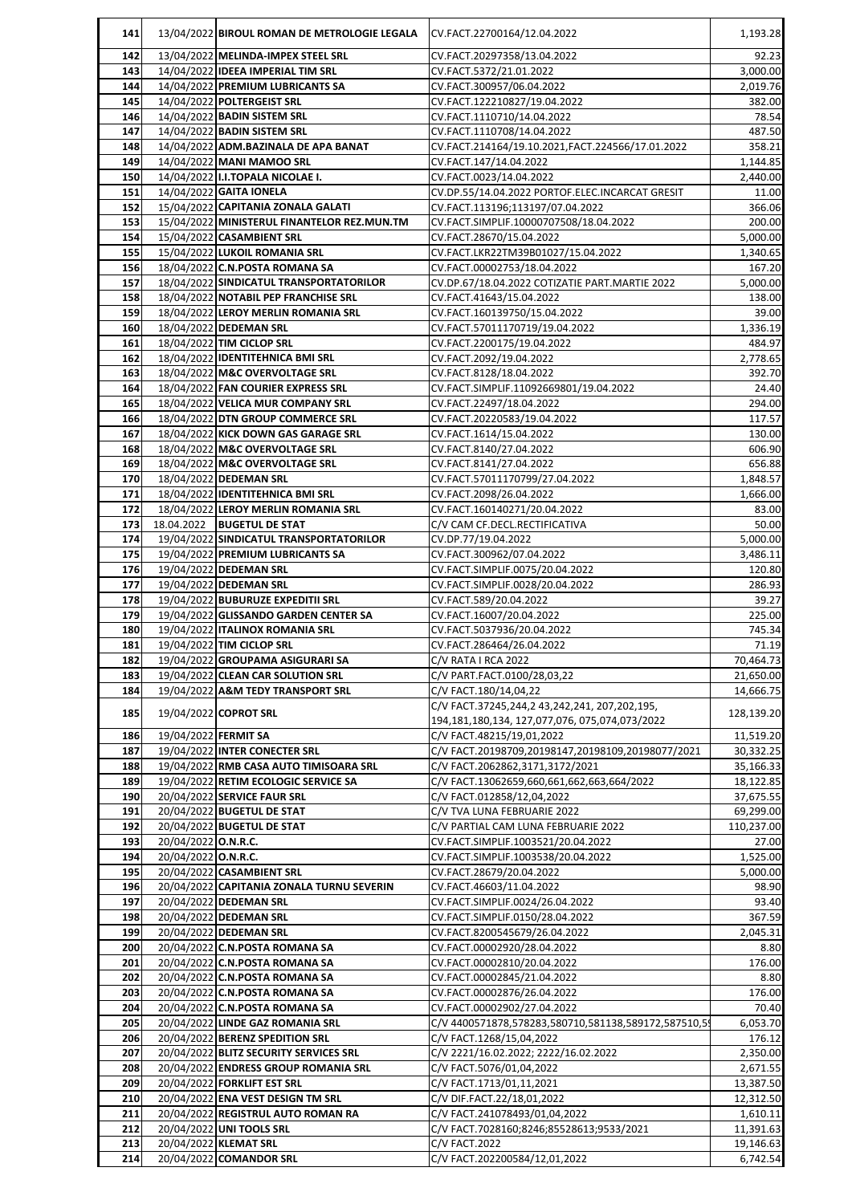| 141        |                      | 13/04/2022 BIROUL ROMAN DE METROLOGIE LEGALA               | CV.FACT.22700164/12.04.2022                                               | 1,193.28               |
|------------|----------------------|------------------------------------------------------------|---------------------------------------------------------------------------|------------------------|
| 142        |                      | 13/04/2022 MELINDA-IMPEX STEEL SRL                         | CV.FACT.20297358/13.04.2022                                               | 92.23                  |
| 143        |                      | 14/04/2022 IDEEA IMPERIAL TIM SRL                          | CV.FACT.5372/21.01.2022                                                   | 3,000.00               |
| 144        |                      | 14/04/2022 PREMIUM LUBRICANTS SA                           | CV.FACT.300957/06.04.2022                                                 | 2,019.76               |
| 145        |                      | 14/04/2022 POLTERGEIST SRL                                 | CV.FACT.122210827/19.04.2022                                              | 382.00                 |
| 146        |                      | 14/04/2022 BADIN SISTEM SRL                                | CV.FACT.1110710/14.04.2022                                                | 78.54                  |
| 147        |                      | 14/04/2022 BADIN SISTEM SRL                                | CV.FACT.1110708/14.04.2022                                                | 487.50                 |
| 148        |                      | 14/04/2022 ADM.BAZINALA DE APA BANAT                       | CV.FACT.214164/19.10.2021,FACT.224566/17.01.2022                          | 358.21                 |
| 149        |                      | 14/04/2022 MANI MAMOO SRL                                  | CV.FACT.147/14.04.2022                                                    | 1,144.85               |
| 150        |                      | 14/04/2022 II.I.TOPALA NICOLAE I.                          | CV.FACT.0023/14.04.2022                                                   | 2,440.00               |
| 151        |                      | 14/04/2022 GAITA IONELA                                    | CV.DP.55/14.04.2022 PORTOF.ELEC.INCARCAT GRESIT                           | 11.00                  |
| 152        |                      | 15/04/2022 CAPITANIA ZONALA GALATI                         | CV.FACT.113196;113197/07.04.2022                                          | 366.06                 |
| 153<br>154 |                      | 15/04/2022 MINISTERUL FINANTELOR REZ.MUN.TM                | CV.FACT.SIMPLIF.10000707508/18.04.2022<br>CV.FACT.28670/15.04.2022        | 200.00<br>5,000.00     |
| 155        |                      | 15/04/2022 CASAMBIENT SRL<br>15/04/2022 LUKOIL ROMANIA SRL | CV.FACT.LKR22TM39B01027/15.04.2022                                        | 1,340.65               |
| 156        |                      | 18/04/2022 C.N.POSTA ROMANA SA                             | CV.FACT.00002753/18.04.2022                                               | 167.20                 |
| 157        |                      | 18/04/2022 SINDICATUL TRANSPORTATORILOR                    | CV.DP.67/18.04.2022 COTIZATIE PART.MARTIE 2022                            | 5,000.00               |
| 158        |                      | 18/04/2022 NOTABIL PEP FRANCHISE SRL                       | CV.FACT.41643/15.04.2022                                                  | 138.00                 |
| 159        |                      | 18/04/2022 LEROY MERLIN ROMANIA SRL                        | CV.FACT.160139750/15.04.2022                                              | 39.00                  |
| 160        |                      | 18/04/2022 DEDEMAN SRL                                     | CV.FACT.57011170719/19.04.2022                                            | 1,336.19               |
| 161        |                      | 18/04/2022 TIM CICLOP SRL                                  | CV.FACT.2200175/19.04.2022                                                | 484.97                 |
| 162        |                      | 18/04/2022 IDENTITEHNICA BMI SRL                           | CV.FACT.2092/19.04.2022                                                   | 2,778.65               |
| 163        |                      | 18/04/2022 M&C OVERVOLTAGE SRL                             | CV.FACT.8128/18.04.2022                                                   | 392.70                 |
| 164        |                      | 18/04/2022 FAN COURIER EXPRESS SRL                         | CV.FACT.SIMPLIF.11092669801/19.04.2022                                    | 24.40                  |
| 165        |                      | 18/04/2022 VELICA MUR COMPANY SRL                          | CV.FACT.22497/18.04.2022                                                  | 294.00                 |
| 166        |                      | 18/04/2022 DTN GROUP COMMERCE SRL                          | CV.FACT.20220583/19.04.2022                                               | 117.57                 |
| 167        |                      | 18/04/2022 KICK DOWN GAS GARAGE SRL                        | CV.FACT.1614/15.04.2022                                                   | 130.00                 |
| 168        |                      | 18/04/2022 M&C OVERVOLTAGE SRL                             | CV.FACT.8140/27.04.2022                                                   | 606.90                 |
| 169        |                      | 18/04/2022 M&C OVERVOLTAGE SRL                             | CV.FACT.8141/27.04.2022                                                   | 656.88                 |
| 170        |                      | 18/04/2022 DEDEMAN SRL                                     | CV.FACT.57011170799/27.04.2022                                            | 1,848.57               |
| 171        |                      | 18/04/2022 IDENTITEHNICA BMI SRL                           | CV.FACT.2098/26.04.2022                                                   | 1,666.00               |
| 172        |                      | 18/04/2022 LEROY MERLIN ROMANIA SRL                        | CV.FACT.160140271/20.04.2022                                              | 83.00                  |
| 173        |                      | 18.04.2022  BUGETUL DE STAT                                | C/V CAM CF.DECL.RECTIFICATIVA                                             | 50.00                  |
| 174        |                      | 19/04/2022 SINDICATUL TRANSPORTATORILOR                    | CV.DP.77/19.04.2022                                                       | 5,000.00               |
| 175        |                      | 19/04/2022 PREMIUM LUBRICANTS SA                           | CV.FACT.300962/07.04.2022                                                 | 3,486.11               |
| 176<br>177 |                      | 19/04/2022 DEDEMAN SRL<br>19/04/2022 DEDEMAN SRL           | CV.FACT.SIMPLIF.0075/20.04.2022<br>CV.FACT.SIMPLIF.0028/20.04.2022        | 120.80<br>286.93       |
| 178        |                      | 19/04/2022 BUBURUZE EXPEDITII SRL                          | CV.FACT.589/20.04.2022                                                    | 39.27                  |
| 179        |                      | 19/04/2022 GLISSANDO GARDEN CENTER SA                      | CV.FACT.16007/20.04.2022                                                  | 225.00                 |
| 180        |                      | 19/04/2022 ITALINOX ROMANIA SRL                            | CV.FACT.5037936/20.04.2022                                                | 745.34                 |
| 181        |                      | 19/04/2022 TIM CICLOP SRL                                  | CV.FACT.286464/26.04.2022                                                 | 71.19                  |
| 182        |                      | 19/04/2022 GROUPAMA ASIGURARI SA                           | C/V RATA I RCA 2022                                                       | 70,464.73              |
| 183        |                      | 19/04/2022 CLEAN CAR SOLUTION SRL                          | C/V PART.FACT.0100/28,03,22                                               | 21,650.00              |
| 184        |                      | 19/04/2022 A&M TEDY TRANSPORT SRL                          | C/V FACT.180/14,04,22                                                     | 14,666.75              |
| 185        |                      | 19/04/2022 COPROT SRL                                      | C/V FACT.37245,244,2 43,242,241, 207,202,195,                             | 128,139.20             |
|            |                      |                                                            | 194,181,180,134, 127,077,076, 075,074,073/2022                            |                        |
| 186        | 19/04/2022 FERMIT SA |                                                            | C/V FACT.48215/19,01,2022                                                 | 11,519.20              |
| 187        |                      | 19/04/2022 INTER CONECTER SRL                              | C/V FACT.20198709,20198147,20198109,20198077/2021                         | 30,332.25              |
| 188        |                      | 19/04/2022 RMB CASA AUTO TIMISOARA SRL                     | C/V FACT.2062862,3171,3172/2021                                           | 35,166.33              |
| 189        |                      | 19/04/2022 RETIM ECOLOGIC SERVICE SA                       | C/V FACT.13062659,660,661,662,663,664/2022                                | 18,122.85              |
| 190        |                      | 20/04/2022 SERVICE FAUR SRL                                | C/V FACT.012858/12,04,2022                                                | 37,675.55              |
| 191        |                      | 20/04/2022 BUGETUL DE STAT                                 | C/V TVA LUNA FEBRUARIE 2022                                               | 69,299.00              |
| 192<br>193 | 20/04/2022 O.N.R.C.  | 20/04/2022 BUGETUL DE STAT                                 | C/V PARTIAL CAM LUNA FEBRUARIE 2022<br>CV.FACT.SIMPLIF.1003521/20.04.2022 | 110,237.00             |
| 194        | 20/04/2022 O.N.R.C.  |                                                            | CV.FACT.SIMPLIF.1003538/20.04.2022                                        | 27.00<br>1,525.00      |
| 195        |                      | 20/04/2022 CASAMBIENT SRL                                  | CV.FACT.28679/20.04.2022                                                  | 5,000.00               |
| 196        |                      | 20/04/2022 CAPITANIA ZONALA TURNU SEVERIN                  | CV.FACT.46603/11.04.2022                                                  | 98.90                  |
| 197        |                      | 20/04/2022 DEDEMAN SRL                                     | CV.FACT.SIMPLIF.0024/26.04.2022                                           | 93.40                  |
| 198        |                      | 20/04/2022 DEDEMAN SRL                                     | CV.FACT.SIMPLIF.0150/28.04.2022                                           | 367.59                 |
| 199        |                      | 20/04/2022 DEDEMAN SRL                                     | CV.FACT.8200545679/26.04.2022                                             | 2,045.31               |
| 200        |                      | 20/04/2022 C.N.POSTA ROMANA SA                             | CV.FACT.00002920/28.04.2022                                               | 8.80                   |
| 201        |                      | 20/04/2022 C.N.POSTA ROMANA SA                             | CV.FACT.00002810/20.04.2022                                               | 176.00                 |
| 202        |                      | 20/04/2022 C.N.POSTA ROMANA SA                             | CV.FACT.00002845/21.04.2022                                               | 8.80                   |
| 203        |                      | 20/04/2022 C.N.POSTA ROMANA SA                             | CV.FACT.00002876/26.04.2022                                               | 176.00                 |
| 204        |                      | 20/04/2022 C.N.POSTA ROMANA SA                             | CV.FACT.00002902/27.04.2022                                               | 70.40                  |
| 205        |                      | 20/04/2022 LINDE GAZ ROMANIA SRL                           | C/V 4400571878,578283,580710,581138,589172,587510,59                      | 6,053.70               |
| 206        |                      | 20/04/2022 BERENZ SPEDITION SRL                            | C/V FACT.1268/15,04,2022                                                  | 176.12                 |
| 207        |                      | 20/04/2022 BLITZ SECURITY SERVICES SRL                     | C/V 2221/16.02.2022; 2222/16.02.2022                                      | 2,350.00               |
| 208        |                      | 20/04/2022 ENDRESS GROUP ROMANIA SRL                       | C/V FACT.5076/01,04,2022                                                  | 2,671.55               |
| 209        |                      | 20/04/2022 FORKLIFT EST SRL                                | C/V FACT.1713/01,11,2021                                                  | 13,387.50              |
| 210        |                      | 20/04/2022 ENA VEST DESIGN TM SRL                          | C/V DIF.FACT.22/18,01,2022                                                | 12,312.50              |
| 211        |                      | 20/04/2022 REGISTRUL AUTO ROMAN RA                         | C/V FACT.241078493/01,04,2022                                             | 1,610.11               |
| 212<br>213 |                      | 20/04/2022 UNI TOOLS SRL<br>20/04/2022 KLEMAT SRL          | C/V FACT.7028160;8246;85528613;9533/2021<br>C/V FACT.2022                 | 11,391.63<br>19,146.63 |
| 214        |                      | 20/04/2022 COMANDOR SRL                                    | C/V FACT.202200584/12,01,2022                                             | 6,742.54               |
|            |                      |                                                            |                                                                           |                        |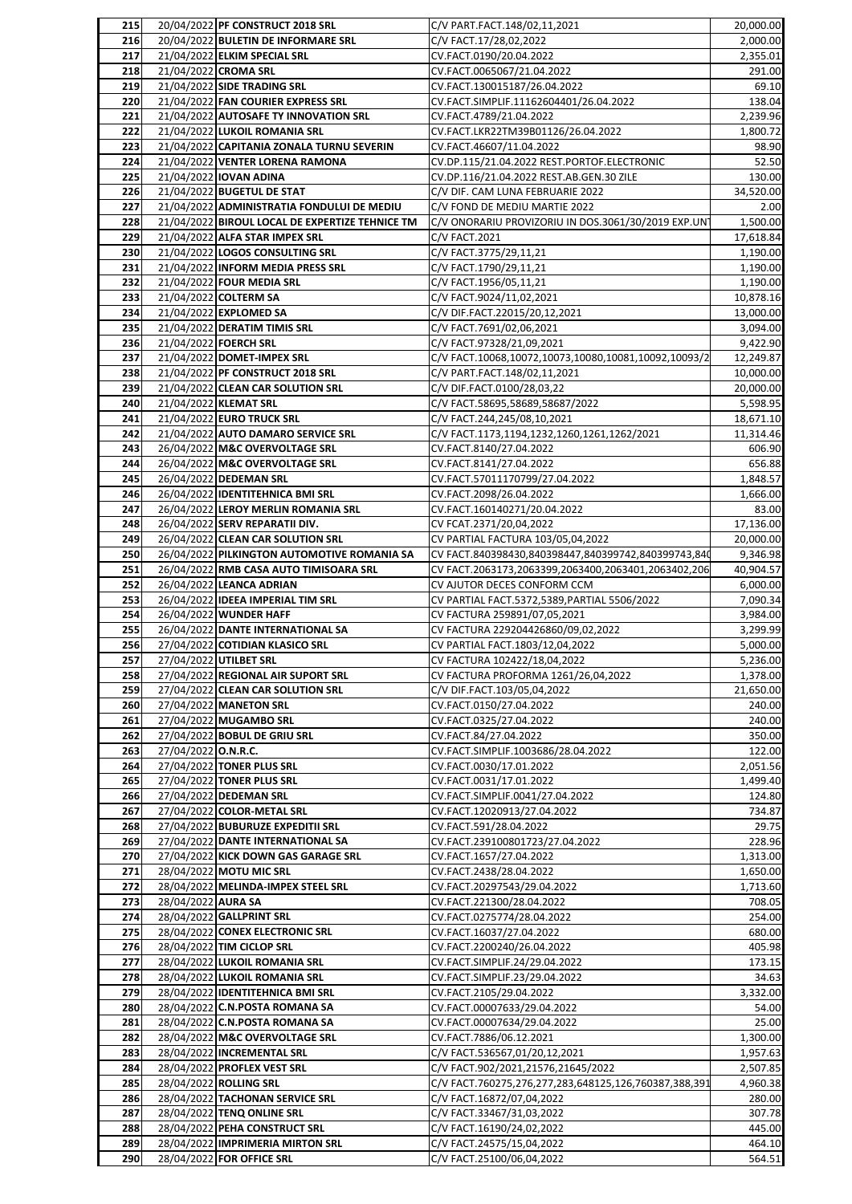| 215        |                     | 20/04/2022 PF CONSTRUCT 2018 SRL                                        | C/V PART.FACT.148/02,11,2021                                           | 20,000.00             |
|------------|---------------------|-------------------------------------------------------------------------|------------------------------------------------------------------------|-----------------------|
| 216        |                     | 20/04/2022 BULETIN DE INFORMARE SRL                                     | C/V FACT.17/28,02,2022                                                 | 2,000.00              |
| 217        |                     | 21/04/2022 ELKIM SPECIAL SRL                                            | CV.FACT.0190/20.04.2022                                                | 2,355.01              |
| 218        |                     | 21/04/2022 CROMA SRL                                                    | CV.FACT.0065067/21.04.2022                                             | 291.00                |
| 219<br>220 |                     | 21/04/2022 SIDE TRADING SRL<br>21/04/2022 FAN COURIER EXPRESS SRL       | CV.FACT.130015187/26.04.2022<br>CV.FACT.SIMPLIF.11162604401/26.04.2022 | 69.10<br>138.04       |
| 221        |                     | 21/04/2022 AUTOSAFE TY INNOVATION SRL                                   | CV.FACT.4789/21.04.2022                                                | 2,239.96              |
| 222        |                     | 21/04/2022 LUKOIL ROMANIA SRL                                           | CV.FACT.LKR22TM39B01126/26.04.2022                                     | 1,800.72              |
| 223        |                     | 21/04/2022 CAPITANIA ZONALA TURNU SEVERIN                               | CV.FACT.46607/11.04.2022                                               | 98.90                 |
| 224        |                     | 21/04/2022 VENTER LORENA RAMONA                                         | CV.DP.115/21.04.2022 REST.PORTOF.ELECTRONIC                            | 52.50                 |
| 225        |                     | 21/04/2022 IOVAN ADINA                                                  | CV.DP.116/21.04.2022 REST.AB.GEN.30 ZILE                               | 130.00                |
| 226        |                     | 21/04/2022 BUGETUL DE STAT                                              | C/V DIF. CAM LUNA FEBRUARIE 2022                                       | 34,520.00             |
| 227        |                     | 21/04/2022 ADMINISTRATIA FONDULUI DE MEDIU                              | C/V FOND DE MEDIU MARTIE 2022                                          | 2.00                  |
| 228        |                     | 21/04/2022 BIROUL LOCAL DE EXPERTIZE TEHNICE TM                         | C/V ONORARIU PROVIZORIU IN DOS.3061/30/2019 EXP.UNT                    | 1,500.00              |
| 229        |                     | 21/04/2022 ALFA STAR IMPEX SRL                                          | C/V FACT.2021                                                          | 17,618.84             |
| 230        |                     | 21/04/2022 LOGOS CONSULTING SRL                                         | C/V FACT.3775/29,11,21                                                 | 1,190.00              |
| 231        |                     | 21/04/2022 INFORM MEDIA PRESS SRL                                       | C/V FACT.1790/29,11,21                                                 | 1,190.00              |
| 232        |                     | 21/04/2022 FOUR MEDIA SRL                                               | C/V FACT.1956/05,11,21                                                 | 1,190.00              |
| 233<br>234 |                     | 21/04/2022 COLTERM SA<br>21/04/2022 EXPLOMED SA                         | C/V FACT.9024/11,02,2021<br>C/V DIF.FACT.22015/20,12,2021              | 10,878.16             |
| 235        |                     | 21/04/2022 DERATIM TIMIS SRL                                            | C/V FACT.7691/02,06,2021                                               | 13,000.00<br>3,094.00 |
| 236        |                     | 21/04/2022 FOERCH SRL                                                   | C/V FACT.97328/21,09,2021                                              | 9,422.90              |
| 237        |                     | 21/04/2022 DOMET-IMPEX SRL                                              | C/V FACT.10068,10072,10073,10080,10081,10092,10093/2                   | 12,249.87             |
| 238        |                     | 21/04/2022 PF CONSTRUCT 2018 SRL                                        | C/V PART.FACT.148/02,11,2021                                           | 10,000.00             |
| 239        |                     | 21/04/2022 CLEAN CAR SOLUTION SRL                                       | C/V DIF.FACT.0100/28,03,22                                             | 20,000.00             |
| 240        |                     | 21/04/2022 KLEMAT SRL                                                   | C/V FACT.58695,58689,58687/2022                                        | 5,598.95              |
| 241        |                     | 21/04/2022 EURO TRUCK SRL                                               | C/V FACT.244,245/08,10,2021                                            | 18,671.10             |
| 242        |                     | 21/04/2022 AUTO DAMARO SERVICE SRL                                      | C/V FACT.1173,1194,1232,1260,1261,1262/2021                            | 11,314.46             |
| 243        |                     | 26/04/2022 M&C OVERVOLTAGE SRL                                          | CV.FACT.8140/27.04.2022                                                | 606.90                |
| 244        |                     | 26/04/2022 M&C OVERVOLTAGE SRL                                          | CV.FACT.8141/27.04.2022                                                | 656.88                |
| 245        |                     | 26/04/2022 DEDEMAN SRL                                                  | CV.FACT.57011170799/27.04.2022                                         | 1,848.57              |
| 246        |                     | 26/04/2022 IDENTITEHNICA BMI SRL                                        | CV.FACT.2098/26.04.2022                                                | 1,666.00              |
| 247<br>248 |                     | 26/04/2022 LEROY MERLIN ROMANIA SRL<br>26/04/2022 SERV REPARATII DIV.   | CV.FACT.160140271/20.04.2022<br>CV FCAT.2371/20,04,2022                | 83.00<br>17,136.00    |
| 249        |                     | 26/04/2022 CLEAN CAR SOLUTION SRL                                       | CV PARTIAL FACTURA 103/05,04,2022                                      | 20,000.00             |
| 250        |                     | 26/04/2022 PILKINGTON AUTOMOTIVE ROMANIA SA                             | CV FACT.840398430,840398447,840399742,840399743,840                    | 9,346.98              |
| 251        |                     | 26/04/2022 RMB CASA AUTO TIMISOARA SRL                                  | CV FACT.2063173,2063399,2063400,2063401,2063402,206                    | 40,904.57             |
| 252        |                     | 26/04/2022 LEANCA ADRIAN                                                | CV AJUTOR DECES CONFORM CCM                                            | 6,000.00              |
| 253        |                     | 26/04/2022 IDEEA IMPERIAL TIM SRL                                       | CV PARTIAL FACT.5372,5389,PARTIAL 5506/2022                            | 7,090.34              |
| 254        |                     | 26/04/2022 WUNDER HAFF                                                  | CV FACTURA 259891/07,05,2021                                           | 3,984.00              |
| 255        |                     | 26/04/2022 DANTE INTERNATIONAL SA                                       | CV FACTURA 229204426860/09,02,2022                                     | 3,299.99              |
| 256        |                     | 27/04/2022 COTIDIAN KLASICO SRL                                         | CV PARTIAL FACT.1803/12,04,2022                                        | 5,000.00              |
| 257        |                     | 27/04/2022 UTILBET SRL                                                  | CV FACTURA 102422/18,04,2022                                           | 5,236.00              |
| 258<br>259 |                     | 27/04/2022 REGIONAL AIR SUPORT SRL<br>27/04/2022 CLEAN CAR SOLUTION SRL | CV FACTURA PROFORMA 1261/26,04,2022<br>C/V DIF.FACT.103/05,04,2022     | 1,378.00<br>21,650.00 |
| 260        |                     | 27/04/2022 MANETON SRL                                                  | CV.FACT.0150/27.04.2022                                                | 240.00                |
| 261        |                     | 27/04/2022 MUGAMBO SRL                                                  | CV.FACT.0325/27.04.2022                                                | 240.00                |
| 262        |                     | 27/04/2022 BOBUL DE GRIU SRL                                            | CV.FACT.84/27.04.2022                                                  | 350.00                |
| 263        | 27/04/2022 O.N.R.C. |                                                                         | CV.FACT.SIMPLIF.1003686/28.04.2022                                     | 122.00                |
| 264        |                     | 27/04/2022 TONER PLUS SRL                                               | CV.FACT.0030/17.01.2022                                                | 2,051.56              |
| 265        |                     | 27/04/2022 TONER PLUS SRL                                               | CV.FACT.0031/17.01.2022                                                | 1,499.40              |
| 266        |                     | 27/04/2022 DEDEMAN SRL                                                  | CV.FACT.SIMPLIF.0041/27.04.2022                                        | 124.80                |
| 267        |                     | 27/04/2022 COLOR-METAL SRL                                              | CV.FACT.12020913/27.04.2022                                            | 734.87                |
| 268        |                     | 27/04/2022 BUBURUZE EXPEDITII SRL<br>27/04/2022 DANTE INTERNATIONAL SA  | CV.FACT.591/28.04.2022                                                 | 29.75                 |
| 269<br>270 |                     | 27/04/2022 KICK DOWN GAS GARAGE SRL                                     | CV.FACT.239100801723/27.04.2022<br>CV.FACT.1657/27.04.2022             | 228.96<br>1,313.00    |
| 271        |                     | 28/04/2022 MOTU MIC SRL                                                 | CV.FACT.2438/28.04.2022                                                | 1,650.00              |
| 272        |                     | 28/04/2022 MELINDA-IMPEX STEEL SRL                                      | CV.FACT.20297543/29.04.2022                                            | 1,713.60              |
| 273        | 28/04/2022 AURA SA  |                                                                         | CV.FACT.221300/28.04.2022                                              | 708.05                |
| 274        |                     | 28/04/2022 GALLPRINT SRL                                                | CV.FACT.0275774/28.04.2022                                             | 254.00                |
| 275        |                     | 28/04/2022 CONEX ELECTRONIC SRL                                         | CV.FACT.16037/27.04.2022                                               | 680.00                |
| 276        |                     | 28/04/2022 TIM CICLOP SRL                                               | CV.FACT.2200240/26.04.2022                                             | 405.98                |
| 277        |                     | 28/04/2022 LUKOIL ROMANIA SRL                                           | CV.FACT.SIMPLIF.24/29.04.2022                                          | 173.15                |
| 278        |                     | 28/04/2022 LUKOIL ROMANIA SRL                                           | CV.FACT.SIMPLIF.23/29.04.2022                                          | 34.63                 |
| 279        |                     | 28/04/2022 IDENTITEHNICA BMI SRL                                        | CV.FACT.2105/29.04.2022                                                | 3,332.00              |
| 280<br>281 |                     | 28/04/2022 C.N.POSTA ROMANA SA<br>28/04/2022 C.N.POSTA ROMANA SA        | CV.FACT.00007633/29.04.2022<br>CV.FACT.00007634/29.04.2022             | 54.00<br>25.00        |
| 282        |                     | 28/04/2022 M&C OVERVOLTAGE SRL                                          | CV.FACT.7886/06.12.2021                                                | 1,300.00              |
| 283        |                     | 28/04/2022 INCREMENTAL SRL                                              | C/V FACT.536567,01/20,12,2021                                          | 1,957.63              |
| 284        |                     | 28/04/2022 PROFLEX VEST SRL                                             | C/V FACT.902/2021,21576,21645/2022                                     | 2,507.85              |
| 285        |                     |                                                                         | C/V FACT.760275,276,277,283,648125,126,760387,388,391                  | 4,960.38              |
| 286        |                     | 28/04/2022 ROLLING SRL                                                  |                                                                        |                       |
|            |                     | 28/04/2022 TACHONAN SERVICE SRL                                         | C/V FACT.16872/07,04,2022                                              | 280.00                |
| 287        |                     | 28/04/2022 TENQ ONLINE SRL                                              | C/V FACT.33467/31,03,2022                                              | 307.78                |
| 288        |                     | 28/04/2022 PEHA CONSTRUCT SRL                                           | C/V FACT.16190/24,02,2022                                              | 445.00                |
| 289<br>290 |                     | 28/04/2022 IMPRIMERIA MIRTON SRL<br>28/04/2022 FOR OFFICE SRL           | C/V FACT.24575/15,04,2022<br>C/V FACT.25100/06,04,2022                 | 464.10<br>564.51      |